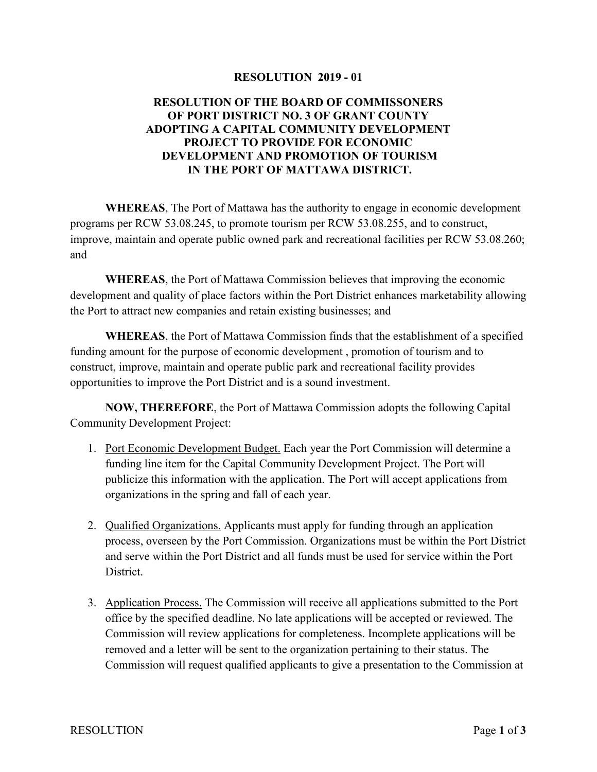## **RESOLUTION 2019 - 01**

## **RESOLUTION OF THE BOARD OF COMMISSONERS OF PORT DISTRICT NO. 3 OF GRANT COUNTY ADOPTING A CAPITAL COMMUNITY DEVELOPMENT PROJECT TO PROVIDE FOR ECONOMIC DEVELOPMENT AND PROMOTION OF TOURISM IN THE PORT OF MATTAWA DISTRICT.**

**WHEREAS**, The Port of Mattawa has the authority to engage in economic development programs per RCW 53.08.245, to promote tourism per RCW 53.08.255, and to construct, improve, maintain and operate public owned park and recreational facilities per RCW 53.08.260; and

**WHEREAS**, the Port of Mattawa Commission believes that improving the economic development and quality of place factors within the Port District enhances marketability allowing the Port to attract new companies and retain existing businesses; and

**WHEREAS**, the Port of Mattawa Commission finds that the establishment of a specified funding amount for the purpose of economic development , promotion of tourism and to construct, improve, maintain and operate public park and recreational facility provides opportunities to improve the Port District and is a sound investment.

**NOW, THEREFORE**, the Port of Mattawa Commission adopts the following Capital Community Development Project:

- 1. Port Economic Development Budget. Each year the Port Commission will determine a funding line item for the Capital Community Development Project. The Port will publicize this information with the application. The Port will accept applications from organizations in the spring and fall of each year.
- 2. Qualified Organizations. Applicants must apply for funding through an application process, overseen by the Port Commission. Organizations must be within the Port District and serve within the Port District and all funds must be used for service within the Port District.
- 3. Application Process. The Commission will receive all applications submitted to the Port office by the specified deadline. No late applications will be accepted or reviewed. The Commission will review applications for completeness. Incomplete applications will be removed and a letter will be sent to the organization pertaining to their status. The Commission will request qualified applicants to give a presentation to the Commission at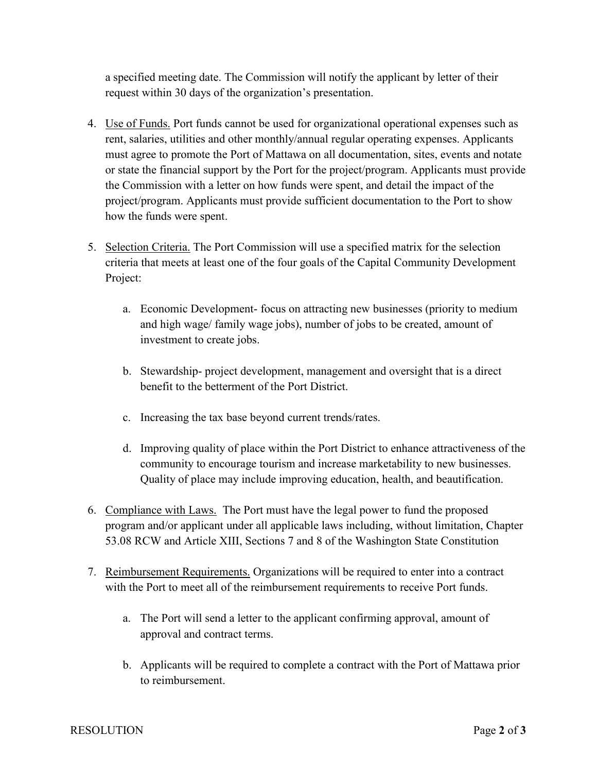a specified meeting date. The Commission will notify the applicant by letter of their request within 30 days of the organization's presentation.

- 4. Use of Funds. Port funds cannot be used for organizational operational expenses such as rent, salaries, utilities and other monthly/annual regular operating expenses. Applicants must agree to promote the Port of Mattawa on all documentation, sites, events and notate or state the financial support by the Port for the project/program. Applicants must provide the Commission with a letter on how funds were spent, and detail the impact of the project/program. Applicants must provide sufficient documentation to the Port to show how the funds were spent.
- 5. Selection Criteria. The Port Commission will use a specified matrix for the selection criteria that meets at least one of the four goals of the Capital Community Development Project:
	- a. Economic Development- focus on attracting new businesses (priority to medium and high wage/ family wage jobs), number of jobs to be created, amount of investment to create jobs.
	- b. Stewardship- project development, management and oversight that is a direct benefit to the betterment of the Port District.
	- c. Increasing the tax base beyond current trends/rates.
	- d. Improving quality of place within the Port District to enhance attractiveness of the community to encourage tourism and increase marketability to new businesses. Quality of place may include improving education, health, and beautification.
- 6. Compliance with Laws. The Port must have the legal power to fund the proposed program and/or applicant under all applicable laws including, without limitation, Chapter 53.08 RCW and Article XIII, Sections 7 and 8 of the Washington State Constitution
- 7. Reimbursement Requirements. Organizations will be required to enter into a contract with the Port to meet all of the reimbursement requirements to receive Port funds.
	- a. The Port will send a letter to the applicant confirming approval, amount of approval and contract terms.
	- b. Applicants will be required to complete a contract with the Port of Mattawa prior to reimbursement.